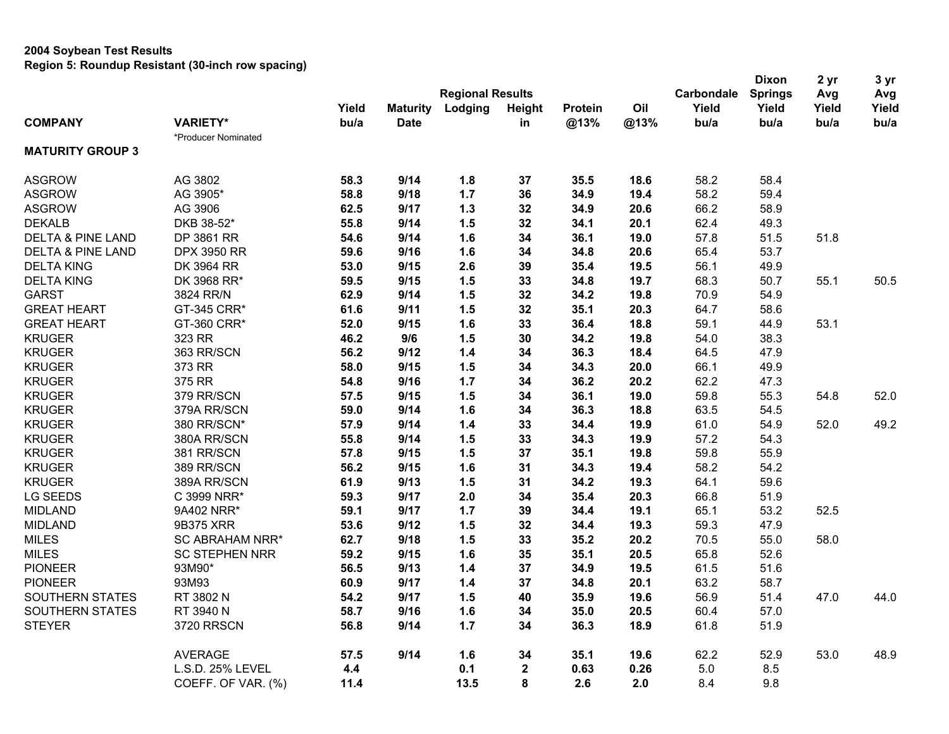|                              |                        |       |                 |                         |              |         |      |            | <b>Dixon</b>   | 2 yr  | 3 yr  |
|------------------------------|------------------------|-------|-----------------|-------------------------|--------------|---------|------|------------|----------------|-------|-------|
|                              |                        |       |                 | <b>Regional Results</b> |              |         |      | Carbondale | <b>Springs</b> | Avg   | Avg   |
|                              |                        | Yield | <b>Maturity</b> | Lodging                 | Height       | Protein | Oil  | Yield      | Yield          | Yield | Yield |
| <b>COMPANY</b>               | <b>VARIETY*</b>        | bu/a  | <b>Date</b>     |                         | in           | @13%    | @13% | bu/a       | bu/a           | bu/a  | bu/a  |
|                              | *Producer Nominated    |       |                 |                         |              |         |      |            |                |       |       |
| <b>MATURITY GROUP 3</b>      |                        |       |                 |                         |              |         |      |            |                |       |       |
| <b>ASGROW</b>                | AG 3802                | 58.3  | 9/14            | 1.8                     | 37           | 35.5    | 18.6 | 58.2       | 58.4           |       |       |
| <b>ASGROW</b>                | AG 3905*               | 58.8  | 9/18            | 1.7                     | 36           | 34.9    | 19.4 | 58.2       | 59.4           |       |       |
| <b>ASGROW</b>                | AG 3906                | 62.5  | 9/17            | 1.3                     | 32           | 34.9    | 20.6 | 66.2       | 58.9           |       |       |
| <b>DEKALB</b>                | DKB 38-52*             | 55.8  | 9/14            | 1.5                     | 32           | 34.1    | 20.1 | 62.4       | 49.3           |       |       |
| <b>DELTA &amp; PINE LAND</b> | DP 3861 RR             | 54.6  | 9/14            | 1.6                     | 34           | 36.1    | 19.0 | 57.8       | 51.5           | 51.8  |       |
| <b>DELTA &amp; PINE LAND</b> | <b>DPX 3950 RR</b>     | 59.6  | 9/16            | 1.6                     | 34           | 34.8    | 20.6 | 65.4       | 53.7           |       |       |
| <b>DELTA KING</b>            | DK 3964 RR             | 53.0  | 9/15            | 2.6                     | 39           | 35.4    | 19.5 | 56.1       | 49.9           |       |       |
| <b>DELTA KING</b>            | DK 3968 RR*            | 59.5  | 9/15            | 1.5                     | 33           | 34.8    | 19.7 | 68.3       | 50.7           | 55.1  | 50.5  |
| <b>GARST</b>                 | 3824 RR/N              | 62.9  | 9/14            | 1.5                     | 32           | 34.2    | 19.8 | 70.9       | 54.9           |       |       |
| <b>GREAT HEART</b>           | GT-345 CRR*            | 61.6  | 9/11            | 1.5                     | 32           | 35.1    | 20.3 | 64.7       | 58.6           |       |       |
| <b>GREAT HEART</b>           | GT-360 CRR*            | 52.0  | 9/15            | 1.6                     | 33           | 36.4    | 18.8 | 59.1       | 44.9           | 53.1  |       |
| <b>KRUGER</b>                | 323 RR                 | 46.2  | 9/6             | 1.5                     | 30           | 34.2    | 19.8 | 54.0       | 38.3           |       |       |
| <b>KRUGER</b>                | 363 RR/SCN             | 56.2  | 9/12            | $1.4$                   | 34           | 36.3    | 18.4 | 64.5       | 47.9           |       |       |
| <b>KRUGER</b>                | 373 RR                 | 58.0  | 9/15            | 1.5                     | 34           | 34.3    | 20.0 | 66.1       | 49.9           |       |       |
| <b>KRUGER</b>                | 375 RR                 | 54.8  | 9/16            | 1.7                     | 34           | 36.2    | 20.2 | 62.2       | 47.3           |       |       |
| <b>KRUGER</b>                | 379 RR/SCN             | 57.5  | 9/15            | 1.5                     | 34           | 36.1    | 19.0 | 59.8       | 55.3           | 54.8  | 52.0  |
| <b>KRUGER</b>                | 379A RR/SCN            | 59.0  | 9/14            | 1.6                     | 34           | 36.3    | 18.8 | 63.5       | 54.5           |       |       |
| <b>KRUGER</b>                | 380 RR/SCN*            | 57.9  | 9/14            | 1.4                     | 33           | 34.4    | 19.9 | 61.0       | 54.9           | 52.0  | 49.2  |
| <b>KRUGER</b>                | 380A RR/SCN            | 55.8  | 9/14            | 1.5                     | 33           | 34.3    | 19.9 | 57.2       | 54.3           |       |       |
| <b>KRUGER</b>                | 381 RR/SCN             | 57.8  | 9/15            | 1.5                     | 37           | 35.1    | 19.8 | 59.8       | 55.9           |       |       |
| <b>KRUGER</b>                | 389 RR/SCN             | 56.2  | 9/15            | 1.6                     | 31           | 34.3    | 19.4 | 58.2       | 54.2           |       |       |
| <b>KRUGER</b>                | 389A RR/SCN            | 61.9  | 9/13            | 1.5                     | 31           | 34.2    | 19.3 | 64.1       | 59.6           |       |       |
| LG SEEDS                     | C 3999 NRR*            | 59.3  | 9/17            | 2.0                     | 34           | 35.4    | 20.3 | 66.8       | 51.9           |       |       |
| <b>MIDLAND</b>               | 9A402 NRR*             | 59.1  | 9/17            | 1.7                     | 39           | 34.4    | 19.1 | 65.1       | 53.2           | 52.5  |       |
| <b>MIDLAND</b>               | 9B375 XRR              | 53.6  | 9/12            | 1.5                     | 32           | 34.4    | 19.3 | 59.3       | 47.9           |       |       |
| <b>MILES</b>                 | <b>SC ABRAHAM NRR*</b> | 62.7  | 9/18            | 1.5                     | 33           | 35.2    | 20.2 | 70.5       | 55.0           | 58.0  |       |
| <b>MILES</b>                 | <b>SC STEPHEN NRR</b>  | 59.2  | 9/15            | 1.6                     | 35           | 35.1    | 20.5 | 65.8       | 52.6           |       |       |
| <b>PIONEER</b>               | 93M90*                 | 56.5  | 9/13            | 1.4                     | 37           | 34.9    | 19.5 | 61.5       | 51.6           |       |       |
| <b>PIONEER</b>               | 93M93                  | 60.9  | 9/17            | 1.4                     | 37           | 34.8    | 20.1 | 63.2       | 58.7           |       |       |
| SOUTHERN STATES              | RT 3802 N              | 54.2  | 9/17            | 1.5                     | 40           | 35.9    | 19.6 | 56.9       | 51.4           | 47.0  | 44.0  |
| <b>SOUTHERN STATES</b>       | RT 3940 N              | 58.7  | 9/16            | 1.6                     | 34           | 35.0    | 20.5 | 60.4       | 57.0           |       |       |
| <b>STEYER</b>                | <b>3720 RRSCN</b>      | 56.8  | 9/14            | 1.7                     | 34           | 36.3    | 18.9 | 61.8       | 51.9           |       |       |
|                              | <b>AVERAGE</b>         | 57.5  | 9/14            | 1.6                     | 34           | 35.1    | 19.6 | 62.2       | 52.9           | 53.0  | 48.9  |
|                              | L.S.D. 25% LEVEL       | 4.4   |                 | 0.1                     | $\mathbf{2}$ | 0.63    | 0.26 | 5.0        | 8.5            |       |       |
|                              | COEFF. OF VAR. (%)     | 11.4  |                 | 13.5                    | 8            | 2.6     | 2.0  | 8.4        | 9.8            |       |       |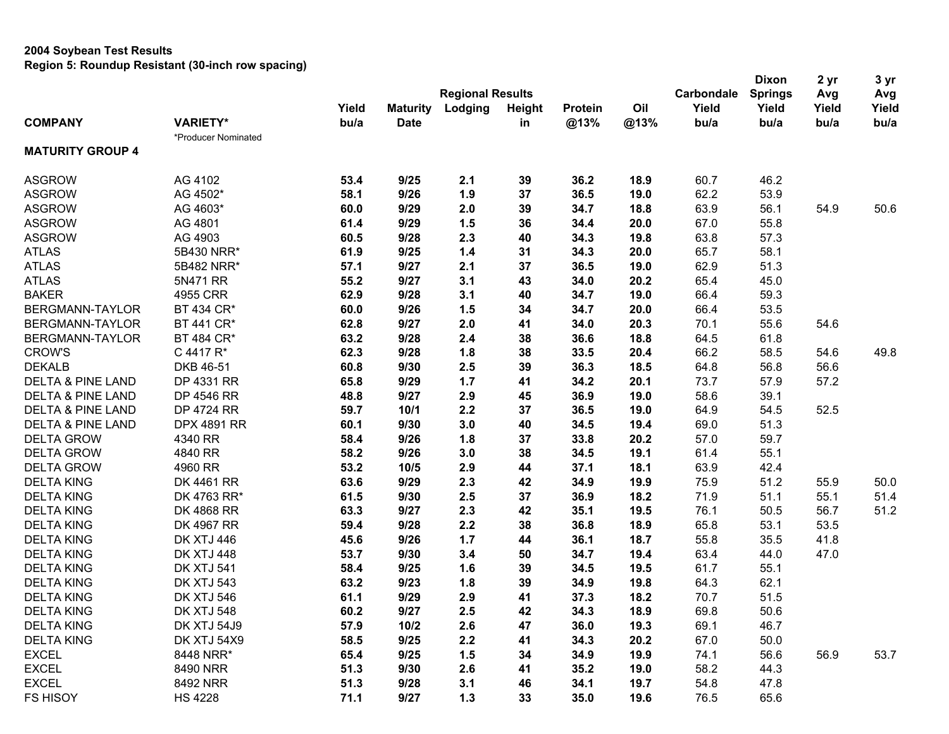|                              |                     |       |                 |                         |        |         |      |            | <b>Dixon</b>   | 2 yr  | 3 yr  |
|------------------------------|---------------------|-------|-----------------|-------------------------|--------|---------|------|------------|----------------|-------|-------|
|                              |                     |       |                 | <b>Regional Results</b> |        |         |      | Carbondale | <b>Springs</b> | Avg   | Avg   |
|                              |                     | Yield | <b>Maturity</b> | Lodging                 | Height | Protein | Oil  | Yield      | Yield          | Yield | Yield |
| <b>COMPANY</b>               | <b>VARIETY*</b>     | bu/a  | <b>Date</b>     |                         | in     | @13%    | @13% | bu/a       | bu/a           | bu/a  | bu/a  |
|                              | *Producer Nominated |       |                 |                         |        |         |      |            |                |       |       |
| <b>MATURITY GROUP 4</b>      |                     |       |                 |                         |        |         |      |            |                |       |       |
| <b>ASGROW</b>                | AG 4102             | 53.4  | 9/25            | 2.1                     | 39     | 36.2    | 18.9 | 60.7       | 46.2           |       |       |
| <b>ASGROW</b>                | AG 4502*            | 58.1  | 9/26            | 1.9                     | 37     | 36.5    | 19.0 | 62.2       | 53.9           |       |       |
| <b>ASGROW</b>                | AG 4603*            | 60.0  | 9/29            | 2.0                     | 39     | 34.7    | 18.8 | 63.9       | 56.1           | 54.9  | 50.6  |
| <b>ASGROW</b>                | AG 4801             | 61.4  | 9/29            | 1.5                     | 36     | 34.4    | 20.0 | 67.0       | 55.8           |       |       |
| <b>ASGROW</b>                | AG 4903             | 60.5  | 9/28            | 2.3                     | 40     | 34.3    | 19.8 | 63.8       | 57.3           |       |       |
| <b>ATLAS</b>                 | 5B430 NRR*          | 61.9  | 9/25            | 1.4                     | 31     | 34.3    | 20.0 | 65.7       | 58.1           |       |       |
| <b>ATLAS</b>                 | 5B482 NRR*          | 57.1  | 9/27            | 2.1                     | 37     | 36.5    | 19.0 | 62.9       | 51.3           |       |       |
| <b>ATLAS</b>                 | 5N471 RR            | 55.2  | 9/27            | 3.1                     | 43     | 34.0    | 20.2 | 65.4       | 45.0           |       |       |
| <b>BAKER</b>                 | 4955 CRR            | 62.9  | 9/28            | 3.1                     | 40     | 34.7    | 19.0 | 66.4       | 59.3           |       |       |
| BERGMANN-TAYLOR              | BT 434 CR*          | 60.0  | 9/26            | 1.5                     | 34     | 34.7    | 20.0 | 66.4       | 53.5           |       |       |
| BERGMANN-TAYLOR              | BT 441 CR*          | 62.8  | 9/27            | 2.0                     | 41     | 34.0    | 20.3 | 70.1       | 55.6           | 54.6  |       |
| BERGMANN-TAYLOR              | BT 484 CR*          | 63.2  | 9/28            | 2.4                     | 38     | 36.6    | 18.8 | 64.5       | 61.8           |       |       |
| <b>CROW'S</b>                | C 4417 R*           | 62.3  | 9/28            | 1.8                     | 38     | 33.5    | 20.4 | 66.2       | 58.5           | 54.6  | 49.8  |
| <b>DEKALB</b>                | DKB 46-51           | 60.8  | 9/30            | 2.5                     | 39     | 36.3    | 18.5 | 64.8       | 56.8           | 56.6  |       |
| <b>DELTA &amp; PINE LAND</b> | DP 4331 RR          | 65.8  | 9/29            | 1.7                     | 41     | 34.2    | 20.1 | 73.7       | 57.9           | 57.2  |       |
| <b>DELTA &amp; PINE LAND</b> | DP 4546 RR          | 48.8  | 9/27            | 2.9                     | 45     | 36.9    | 19.0 | 58.6       | 39.1           |       |       |
| <b>DELTA &amp; PINE LAND</b> | <b>DP 4724 RR</b>   | 59.7  | 10/1            | 2.2                     | 37     | 36.5    | 19.0 | 64.9       | 54.5           | 52.5  |       |
| <b>DELTA &amp; PINE LAND</b> | <b>DPX 4891 RR</b>  | 60.1  | 9/30            | 3.0                     | 40     | 34.5    | 19.4 | 69.0       | 51.3           |       |       |
| <b>DELTA GROW</b>            | 4340 RR             | 58.4  | 9/26            | 1.8                     | 37     | 33.8    | 20.2 | 57.0       | 59.7           |       |       |
| <b>DELTA GROW</b>            | 4840 RR             | 58.2  | 9/26            | 3.0                     | 38     | 34.5    | 19.1 | 61.4       | 55.1           |       |       |
| <b>DELTA GROW</b>            | 4960 RR             | 53.2  | 10/5            | 2.9                     | 44     | 37.1    | 18.1 | 63.9       | 42.4           |       |       |
| <b>DELTA KING</b>            | DK 4461 RR          | 63.6  | 9/29            | 2.3                     | 42     | 34.9    | 19.9 | 75.9       | 51.2           | 55.9  | 50.0  |
| <b>DELTA KING</b>            | DK 4763 RR*         | 61.5  | 9/30            | 2.5                     | 37     | 36.9    | 18.2 | 71.9       | 51.1           | 55.1  | 51.4  |
| <b>DELTA KING</b>            | <b>DK 4868 RR</b>   | 63.3  | 9/27            | 2.3                     | 42     | 35.1    | 19.5 | 76.1       | 50.5           | 56.7  | 51.2  |
| <b>DELTA KING</b>            | DK 4967 RR          | 59.4  | 9/28            | 2.2                     | 38     | 36.8    | 18.9 | 65.8       | 53.1           | 53.5  |       |
| <b>DELTA KING</b>            | <b>DK XTJ 446</b>   | 45.6  | 9/26            | 1.7                     | 44     | 36.1    | 18.7 | 55.8       | 35.5           | 41.8  |       |
| <b>DELTA KING</b>            | <b>DK XTJ 448</b>   | 53.7  | 9/30            | 3.4                     | 50     | 34.7    | 19.4 | 63.4       | 44.0           | 47.0  |       |
| <b>DELTA KING</b>            | <b>DK XTJ 541</b>   | 58.4  | 9/25            | 1.6                     | 39     | 34.5    | 19.5 | 61.7       | 55.1           |       |       |
| <b>DELTA KING</b>            | <b>DK XTJ 543</b>   | 63.2  | 9/23            | 1.8                     | 39     | 34.9    | 19.8 | 64.3       | 62.1           |       |       |
| <b>DELTA KING</b>            | <b>DK XTJ 546</b>   | 61.1  | 9/29            | 2.9                     | 41     | 37.3    | 18.2 | 70.7       | 51.5           |       |       |
| <b>DELTA KING</b>            | DK XTJ 548          | 60.2  | 9/27            | 2.5                     | 42     | 34.3    | 18.9 | 69.8       | 50.6           |       |       |
| <b>DELTA KING</b>            | DK XTJ 54J9         | 57.9  | 10/2            | 2.6                     | 47     | 36.0    | 19.3 | 69.1       | 46.7           |       |       |
| <b>DELTA KING</b>            | DK XTJ 54X9         | 58.5  | 9/25            | 2.2                     | 41     | 34.3    | 20.2 | 67.0       | 50.0           |       |       |
| <b>EXCEL</b>                 | 8448 NRR*           | 65.4  | 9/25            | 1.5                     | 34     | 34.9    | 19.9 | 74.1       | 56.6           | 56.9  | 53.7  |
| <b>EXCEL</b>                 | 8490 NRR            | 51.3  | 9/30            | 2.6                     | 41     | 35.2    | 19.0 | 58.2       | 44.3           |       |       |
| <b>EXCEL</b>                 | 8492 NRR            | 51.3  | 9/28            | 3.1                     | 46     | 34.1    | 19.7 | 54.8       | 47.8           |       |       |
| FS HISOY                     | <b>HS 4228</b>      | 71.1  | 9/27            | $1.3$                   | 33     | 35.0    | 19.6 | 76.5       | 65.6           |       |       |
|                              |                     |       |                 |                         |        |         |      |            |                |       |       |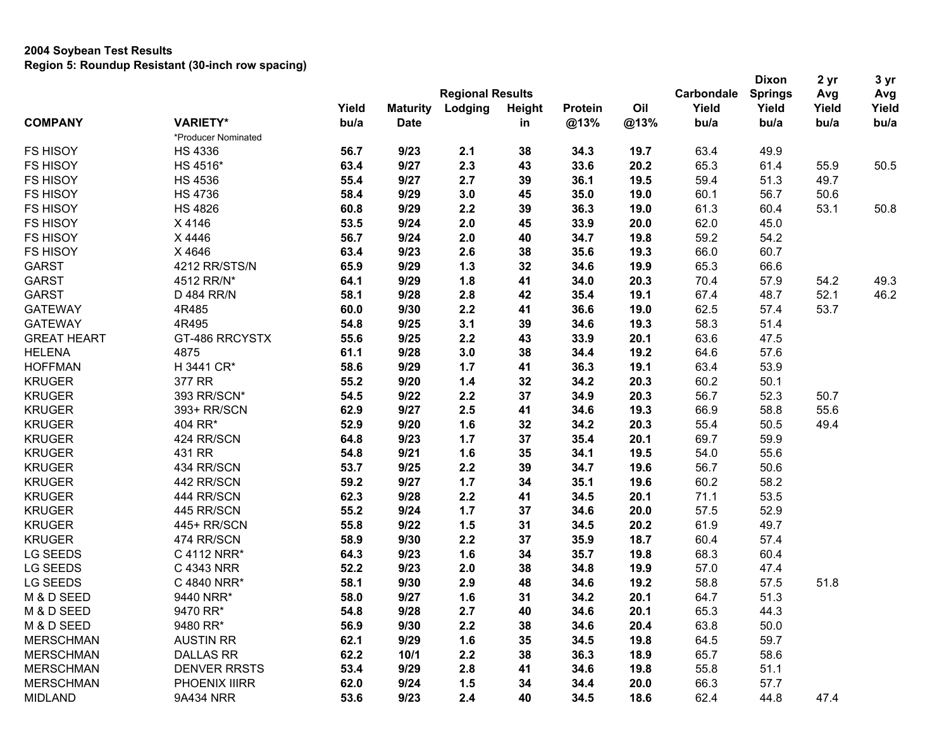### **2004 Soybean Test Results Region 5: Roundup Resistant (30-inch row spacing)**

|                    |                     |               |                                |                         |              |                 |             | <b>Dixon</b>  | 2 yr           | 3 yr          |               |
|--------------------|---------------------|---------------|--------------------------------|-------------------------|--------------|-----------------|-------------|---------------|----------------|---------------|---------------|
|                    |                     |               |                                | <b>Regional Results</b> |              |                 |             | Carbondale    | <b>Springs</b> | Avg           | Avg           |
| <b>COMPANY</b>     | <b>VARIETY*</b>     | Yield<br>bu/a | <b>Maturity</b><br><b>Date</b> | Lodging                 | Height<br>in | Protein<br>@13% | Oil<br>@13% | Yield<br>bu/a | Yield<br>bu/a  | Yield<br>bu/a | Yield<br>bu/a |
|                    | *Producer Nominated |               |                                |                         |              |                 |             |               |                |               |               |
| <b>FS HISOY</b>    | <b>HS 4336</b>      | 56.7          | 9/23                           | 2.1                     | 38           | 34.3            | 19.7        | 63.4          | 49.9           |               |               |
| <b>FS HISOY</b>    | HS 4516*            | 63.4          | 9/27                           | 2.3                     | 43           | 33.6            | 20.2        | 65.3          | 61.4           | 55.9          | 50.5          |
| <b>FS HISOY</b>    | <b>HS 4536</b>      | 55.4          | 9/27                           | 2.7                     | 39           | 36.1            | 19.5        | 59.4          | 51.3           | 49.7          |               |
| <b>FS HISOY</b>    | <b>HS 4736</b>      | 58.4          | 9/29                           | 3.0                     | 45           | 35.0            | 19.0        | 60.1          | 56.7           | 50.6          |               |
| <b>FS HISOY</b>    | <b>HS 4826</b>      | 60.8          | 9/29                           | 2.2                     | 39           | 36.3            | 19.0        | 61.3          | 60.4           | 53.1          | 50.8          |
| <b>FS HISOY</b>    | X 4146              | 53.5          | 9/24                           | 2.0                     | 45           | 33.9            | 20.0        | 62.0          | 45.0           |               |               |
| <b>FS HISOY</b>    | X 4446              | 56.7          | 9/24                           | 2.0                     | 40           | 34.7            | 19.8        | 59.2          | 54.2           |               |               |
| <b>FS HISOY</b>    | X 4646              | 63.4          | 9/23                           | 2.6                     | 38           | 35.6            | 19.3        | 66.0          | 60.7           |               |               |
| <b>GARST</b>       | 4212 RR/STS/N       | 65.9          | 9/29                           | $1.3$                   | 32           | 34.6            | 19.9        | 65.3          | 66.6           |               |               |
| <b>GARST</b>       |                     | 64.1          | 9/29                           |                         | 41           | 34.0            |             | 70.4          | 57.9           | 54.2          |               |
|                    | 4512 RR/N*          |               |                                | 1.8                     |              |                 | 20.3        |               |                |               | 49.3          |
| <b>GARST</b>       | D 484 RR/N          | 58.1          | 9/28                           | 2.8                     | 42           | 35.4            | 19.1        | 67.4          | 48.7           | 52.1          | 46.2          |
| <b>GATEWAY</b>     | 4R485               | 60.0          | 9/30                           | 2.2                     | 41           | 36.6            | 19.0        | 62.5          | 57.4           | 53.7          |               |
| <b>GATEWAY</b>     | 4R495               | 54.8          | 9/25                           | 3.1                     | 39           | 34.6            | 19.3        | 58.3          | 51.4           |               |               |
| <b>GREAT HEART</b> | GT-486 RRCYSTX      | 55.6          | 9/25                           | 2.2                     | 43           | 33.9            | 20.1        | 63.6          | 47.5           |               |               |
| <b>HELENA</b>      | 4875                | 61.1          | 9/28                           | 3.0                     | 38           | 34.4            | 19.2        | 64.6          | 57.6           |               |               |
| <b>HOFFMAN</b>     | H 3441 CR*          | 58.6          | 9/29                           | 1.7                     | 41           | 36.3            | 19.1        | 63.4          | 53.9           |               |               |
| <b>KRUGER</b>      | 377 RR              | 55.2          | 9/20                           | 1.4                     | 32           | 34.2            | 20.3        | 60.2          | 50.1           |               |               |
| <b>KRUGER</b>      | 393 RR/SCN*         | 54.5          | 9/22                           | 2.2                     | 37           | 34.9            | 20.3        | 56.7          | 52.3           | 50.7          |               |
| <b>KRUGER</b>      | 393+ RR/SCN         | 62.9          | 9/27                           | 2.5                     | 41           | 34.6            | 19.3        | 66.9          | 58.8           | 55.6          |               |
| <b>KRUGER</b>      | 404 RR*             | 52.9          | 9/20                           | 1.6                     | 32           | 34.2            | 20.3        | 55.4          | 50.5           | 49.4          |               |
| <b>KRUGER</b>      | 424 RR/SCN          | 64.8          | 9/23                           | 1.7                     | 37           | 35.4            | 20.1        | 69.7          | 59.9           |               |               |
| <b>KRUGER</b>      | 431 RR              | 54.8          | 9/21                           | 1.6                     | 35           | 34.1            | 19.5        | 54.0          | 55.6           |               |               |
| <b>KRUGER</b>      | 434 RR/SCN          | 53.7          | 9/25                           | 2.2                     | 39           | 34.7            | 19.6        | 56.7          | 50.6           |               |               |
| <b>KRUGER</b>      | 442 RR/SCN          | 59.2          | 9/27                           | 1.7                     | 34           | 35.1            | 19.6        | 60.2          | 58.2           |               |               |
| <b>KRUGER</b>      | 444 RR/SCN          | 62.3          | 9/28                           | 2.2                     | 41           | 34.5            | 20.1        | 71.1          | 53.5           |               |               |
| <b>KRUGER</b>      | 445 RR/SCN          | 55.2          | 9/24                           | 1.7                     | 37           | 34.6            | 20.0        | 57.5          | 52.9           |               |               |
| <b>KRUGER</b>      | 445+ RR/SCN         | 55.8          | 9/22                           | 1.5                     | 31           | 34.5            | 20.2        | 61.9          | 49.7           |               |               |
| <b>KRUGER</b>      | 474 RR/SCN          | 58.9          | 9/30                           | 2.2                     | 37           | 35.9            | 18.7        | 60.4          | 57.4           |               |               |
| LG SEEDS           | C 4112 NRR*         | 64.3          | 9/23                           | 1.6                     | 34           | 35.7            | 19.8        | 68.3          | 60.4           |               |               |
| LG SEEDS           | C 4343 NRR          | 52.2          | 9/23                           | 2.0                     | 38           | 34.8            | 19.9        | 57.0          | 47.4           |               |               |
| LG SEEDS           | C 4840 NRR*         | 58.1          | 9/30                           | 2.9                     | 48           | 34.6            | 19.2        | 58.8          | 57.5           | 51.8          |               |
| M & D SEED         | 9440 NRR*           | 58.0          | 9/27                           | 1.6                     | 31           | 34.2            | 20.1        | 64.7          | 51.3           |               |               |
| M & D SEED         | 9470 RR*            | 54.8          | 9/28                           | 2.7                     | 40           | 34.6            | 20.1        | 65.3          | 44.3           |               |               |
| M & D SEED         | 9480 RR*            | 56.9          | 9/30                           | 2.2                     | 38           | 34.6            | 20.4        | 63.8          | 50.0           |               |               |
| <b>MERSCHMAN</b>   | <b>AUSTIN RR</b>    | 62.1          | 9/29                           | 1.6                     | 35           | 34.5            | 19.8        | 64.5          | 59.7           |               |               |
| <b>MERSCHMAN</b>   | <b>DALLAS RR</b>    | 62.2          | 10/1                           | 2.2                     | 38           | 36.3            | 18.9        | 65.7          | 58.6           |               |               |
| <b>MERSCHMAN</b>   | <b>DENVER RRSTS</b> | 53.4          | 9/29                           | 2.8                     | 41           | 34.6            | 19.8        | 55.8          | 51.1           |               |               |
| <b>MERSCHMAN</b>   | PHOENIX IIIRR       | 62.0          | 9/24                           | 1.5                     | 34           | 34.4            | 20.0        | 66.3          | 57.7           |               |               |
| <b>MIDLAND</b>     | 9A434 NRR           | 53.6          | 9/23                           | 2.4                     | 40           | 34.5            | 18.6        | 62.4          | 44.8           | 47.4          |               |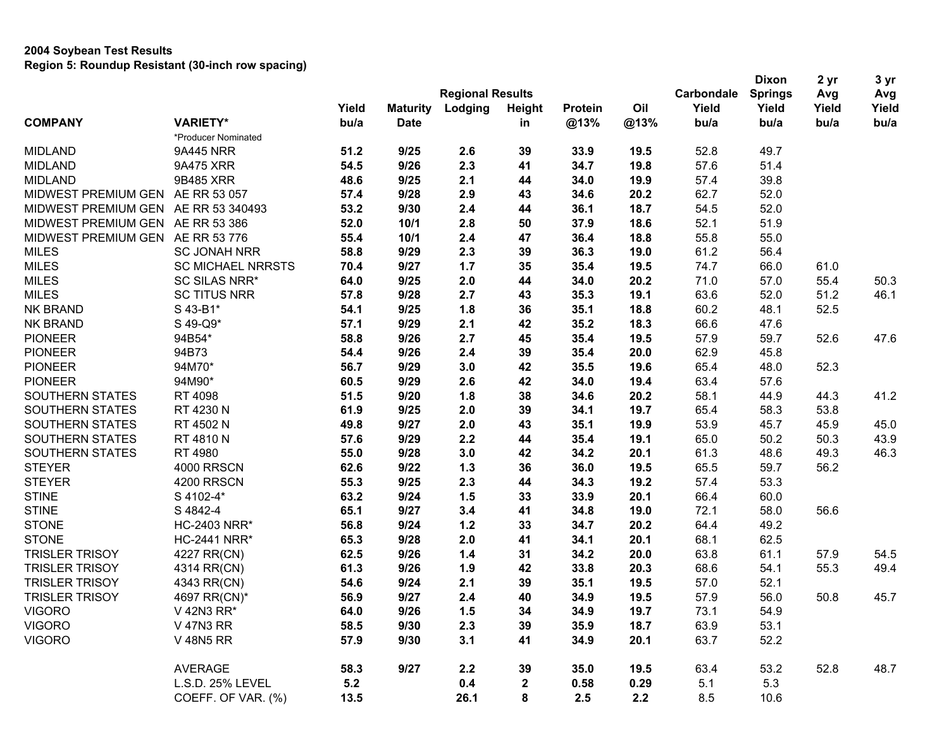|                                     |                          |       |                 |                         |               |         |      |            | <b>Dixon</b>   | 2 <sub>yr</sub> | 3 yr  |
|-------------------------------------|--------------------------|-------|-----------------|-------------------------|---------------|---------|------|------------|----------------|-----------------|-------|
|                                     |                          |       |                 | <b>Regional Results</b> |               |         |      | Carbondale | <b>Springs</b> | Avg             | Avg   |
|                                     |                          | Yield | <b>Maturity</b> | Lodging                 | <b>Height</b> | Protein | Oil  | Yield      | Yield          | Yield           | Yield |
| <b>COMPANY</b>                      | <b>VARIETY*</b>          | bu/a  | <b>Date</b>     |                         | in            | @13%    | @13% | bu/a       | bu/a           | bu/a            | bu/a  |
|                                     | *Producer Nominated      |       |                 |                         |               |         |      |            |                |                 |       |
| <b>MIDLAND</b>                      | 9A445 NRR                | 51.2  | 9/25            | 2.6                     | 39            | 33.9    | 19.5 | 52.8       | 49.7           |                 |       |
| <b>MIDLAND</b>                      | 9A475 XRR                | 54.5  | 9/26            | 2.3                     | 41            | 34.7    | 19.8 | 57.6       | 51.4           |                 |       |
| <b>MIDLAND</b>                      | 9B485 XRR                | 48.6  | 9/25            | 2.1                     | 44            | 34.0    | 19.9 | 57.4       | 39.8           |                 |       |
| MIDWEST PREMIUM GEN                 | AE RR 53 057             | 57.4  | 9/28            | 2.9                     | 43            | 34.6    | 20.2 | 62.7       | 52.0           |                 |       |
| MIDWEST PREMIUM GEN AE RR 53 340493 |                          | 53.2  | 9/30            | 2.4                     | 44            | 36.1    | 18.7 | 54.5       | 52.0           |                 |       |
| MIDWEST PREMIUM GEN                 | AE RR 53 386             | 52.0  | 10/1            | 2.8                     | 50            | 37.9    | 18.6 | 52.1       | 51.9           |                 |       |
| MIDWEST PREMIUM GEN                 | AE RR 53 776             | 55.4  | 10/1            | 2.4                     | 47            | 36.4    | 18.8 | 55.8       | 55.0           |                 |       |
| <b>MILES</b>                        | <b>SC JONAH NRR</b>      | 58.8  | 9/29            | 2.3                     | 39            | 36.3    | 19.0 | 61.2       | 56.4           |                 |       |
| <b>MILES</b>                        | <b>SC MICHAEL NRRSTS</b> | 70.4  | 9/27            | 1.7                     | 35            | 35.4    | 19.5 | 74.7       | 66.0           | 61.0            |       |
| <b>MILES</b>                        | SC SILAS NRR*            | 64.0  | 9/25            | 2.0                     | 44            | 34.0    | 20.2 | 71.0       | 57.0           | 55.4            | 50.3  |
| <b>MILES</b>                        | <b>SC TITUS NRR</b>      | 57.8  | 9/28            | 2.7                     | 43            | 35.3    | 19.1 | 63.6       | 52.0           | 51.2            | 46.1  |
| <b>NK BRAND</b>                     | S 43-B1*                 | 54.1  | 9/25            | 1.8                     | 36            | 35.1    | 18.8 | 60.2       | 48.1           | 52.5            |       |
| NK BRAND                            | S 49-Q9*                 | 57.1  | 9/29            | 2.1                     | 42            | 35.2    | 18.3 | 66.6       | 47.6           |                 |       |
| <b>PIONEER</b>                      | 94B54*                   | 58.8  | 9/26            | 2.7                     | 45            | 35.4    | 19.5 | 57.9       | 59.7           | 52.6            | 47.6  |
| <b>PIONEER</b>                      | 94B73                    | 54.4  | 9/26            | 2.4                     | 39            | 35.4    | 20.0 | 62.9       | 45.8           |                 |       |
| <b>PIONEER</b>                      | 94M70*                   | 56.7  | 9/29            | 3.0                     | 42            | 35.5    | 19.6 | 65.4       | 48.0           | 52.3            |       |
| <b>PIONEER</b>                      | 94M90*                   | 60.5  | 9/29            | 2.6                     | 42            | 34.0    | 19.4 | 63.4       | 57.6           |                 |       |
| SOUTHERN STATES                     | RT 4098                  | 51.5  | 9/20            | 1.8                     | 38            | 34.6    | 20.2 | 58.1       | 44.9           | 44.3            | 41.2  |
| SOUTHERN STATES                     | RT 4230 N                | 61.9  | 9/25            | 2.0                     | 39            | 34.1    | 19.7 | 65.4       | 58.3           | 53.8            |       |
| SOUTHERN STATES                     | RT 4502 N                | 49.8  | 9/27            | 2.0                     | 43            | 35.1    | 19.9 | 53.9       | 45.7           | 45.9            | 45.0  |
| SOUTHERN STATES                     | RT 4810 N                | 57.6  | 9/29            | 2.2                     | 44            | 35.4    | 19.1 | 65.0       | 50.2           | 50.3            | 43.9  |
| SOUTHERN STATES                     | RT 4980                  | 55.0  | 9/28            | 3.0                     | 42            | 34.2    | 20.1 | 61.3       | 48.6           | 49.3            | 46.3  |
| <b>STEYER</b>                       | 4000 RRSCN               | 62.6  | 9/22            | $1.3$                   | 36            | 36.0    | 19.5 | 65.5       | 59.7           | 56.2            |       |
| <b>STEYER</b>                       | 4200 RRSCN               | 55.3  | 9/25            | 2.3                     | 44            | 34.3    | 19.2 | 57.4       | 53.3           |                 |       |
| <b>STINE</b>                        | S 4102-4*                | 63.2  | 9/24            | 1.5                     | 33            | 33.9    | 20.1 | 66.4       | 60.0           |                 |       |
| <b>STINE</b>                        | S 4842-4                 | 65.1  | 9/27            | 3.4                     | 41            | 34.8    | 19.0 | 72.1       | 58.0           | 56.6            |       |
| <b>STONE</b>                        | <b>HC-2403 NRR*</b>      | 56.8  | 9/24            | 1.2                     | 33            | 34.7    | 20.2 | 64.4       | 49.2           |                 |       |
| <b>STONE</b>                        | <b>HC-2441 NRR*</b>      | 65.3  | 9/28            | 2.0                     | 41            | 34.1    | 20.1 | 68.1       | 62.5           |                 |       |
| <b>TRISLER TRISOY</b>               | 4227 RR(CN)              | 62.5  | 9/26            | 1.4                     | 31            | 34.2    | 20.0 | 63.8       | 61.1           | 57.9            | 54.5  |
| <b>TRISLER TRISOY</b>               | 4314 RR(CN)              | 61.3  | 9/26            | 1.9                     | 42            | 33.8    | 20.3 | 68.6       | 54.1           | 55.3            | 49.4  |
| <b>TRISLER TRISOY</b>               | 4343 RR(CN)              | 54.6  | 9/24            | 2.1                     | 39            | 35.1    | 19.5 | 57.0       | 52.1           |                 |       |
| <b>TRISLER TRISOY</b>               | 4697 RR(CN)*             | 56.9  | 9/27            | 2.4                     | 40            | 34.9    | 19.5 | 57.9       | 56.0           | 50.8            | 45.7  |
| <b>VIGORO</b>                       | V 42N3 RR*               | 64.0  | 9/26            | 1.5                     | 34            | 34.9    | 19.7 | 73.1       | 54.9           |                 |       |
| <b>VIGORO</b>                       | V 47N3 RR                | 58.5  | 9/30            | 2.3                     | 39            | 35.9    | 18.7 | 63.9       | 53.1           |                 |       |
| <b>VIGORO</b>                       | <b>V 48N5 RR</b>         | 57.9  | 9/30            | 3.1                     | 41            | 34.9    | 20.1 | 63.7       | 52.2           |                 |       |
|                                     |                          |       |                 |                         |               |         |      |            |                |                 |       |
|                                     | <b>AVERAGE</b>           | 58.3  | 9/27            | 2.2                     | 39            | 35.0    | 19.5 | 63.4       | 53.2           | 52.8            | 48.7  |
|                                     | L.S.D. 25% LEVEL         | 5.2   |                 | 0.4                     | $\mathbf{2}$  | 0.58    | 0.29 | 5.1        | 5.3            |                 |       |
|                                     | COEFF. OF VAR. (%)       | 13.5  |                 | 26.1                    | 8             | 2.5     | 2.2  | 8.5        | 10.6           |                 |       |